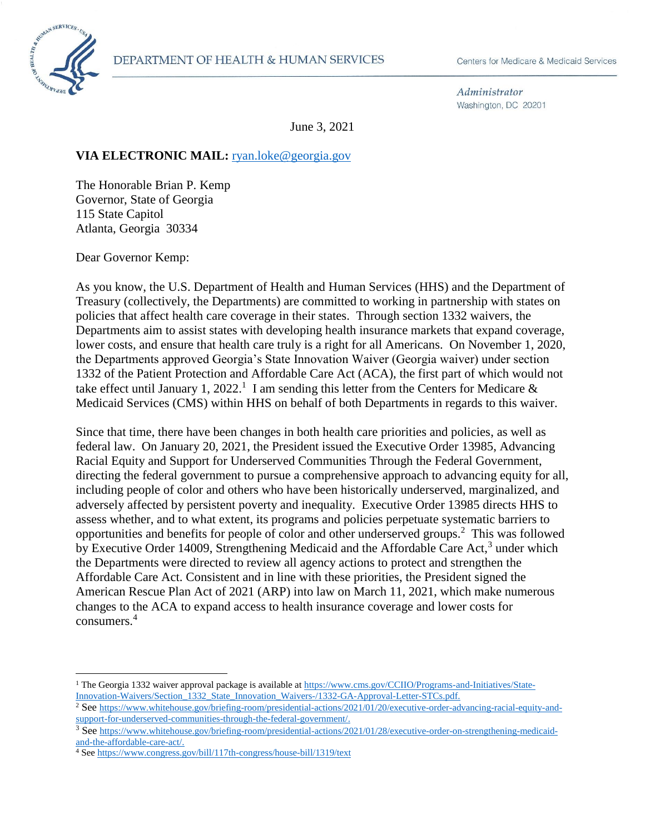

 $\overline{a}$ 

Administrator Washington, DC 20201

June 3, 2021

#### VIA ELECTRONIC MAIL: [ryan.loke@georgia.gov](mailto:Kara.Walker@delaware.gov)

The Honorable Brian P. Kemp Governor, State of Georgia 115 State Capitol Atlanta, Georgia 30334

Dear Governor Kemp:

As you know, the U.S. Department of Health and Human Services (HHS) and the Department of Treasury (collectively, the Departments) are committed to working in partnership with states on policies that affect health care coverage in their states. Through section 1332 waivers, the Departments aim to assist states with developing health insurance markets that expand coverage, lower costs, and ensure that health care truly is a right for all Americans. On November 1, 2020, the Departments approved Georgia's State Innovation Waiver (Georgia waiver) under section 1332 of the Patient Protection and Affordable Care Act (ACA), the first part of which would not take effect until January 1, 2022.<sup>1</sup> I am sending this letter from the Centers for Medicare  $\&$ Medicaid Services (CMS) within HHS on behalf of both Departments in regards to this waiver.

Since that time, there have been changes in both health care priorities and policies, as well as federal law. On January 20, 2021, the President issued the Executive Order 13985, Advancing Racial Equity and Support for Underserved Communities Through the Federal Government, directing the federal government to pursue a comprehensive approach to advancing equity for all, including people of color and others who have been historically underserved, marginalized, and adversely affected by persistent poverty and inequality. Executive Order 13985 directs HHS to assess whether, and to what extent, its programs and policies perpetuate systematic barriers to opportunities and benefits for people of color and other underserved groups.<sup>2</sup> This was followed by Executive Order 14009, Strengthening Medicaid and the Affordable Care Act,<sup>3</sup> under which the Departments were directed to review all agency actions to protect and strengthen the Affordable Care Act. Consistent and in line with these priorities, the President signed the American Rescue Plan Act of 2021 (ARP) into law on March 11, 2021, which make numerous changes to the ACA to expand access to health insurance coverage and lower costs for consumers.<sup>4</sup>

<sup>&</sup>lt;sup>1</sup> The Georgia 1332 waiver approval package is available at [https://www.cms.gov/CCIIO/Programs-and-Initiatives/State-](https://www.cms.gov/CCIIO/Programs-and-Initiatives/State-Innovation-Waivers/Section_1332_State_Innovation_Waivers-/1332-GA-Approval-Letter-STCs.pdf)[Innovation-Waivers/Section\\_1332\\_State\\_Innovation\\_Waivers-/1332-GA-Approval-Letter-STCs.pdf.](https://www.cms.gov/CCIIO/Programs-and-Initiatives/State-Innovation-Waivers/Section_1332_State_Innovation_Waivers-/1332-GA-Approval-Letter-STCs.pdf)

<sup>&</sup>lt;sup>2</sup> See [https://www.whitehouse.gov/briefing-room/presidential-actions/2021/01/20/executive-order-advancing-racial-equity-and](https://www.whitehouse.gov/briefing-room/presidential-actions/2021/01/20/executive-order-advancing-racial-equity-and-support-for-underserved-communities-through-the-federal-government/)[support-for-underserved-communities-through-the-federal-government/.](https://www.whitehouse.gov/briefing-room/presidential-actions/2021/01/20/executive-order-advancing-racial-equity-and-support-for-underserved-communities-through-the-federal-government/)

<sup>&</sup>lt;sup>3</sup> See [https://www.whitehouse.gov/briefing-room/presidential-actions/2021/01/28/executive-order-on-strengthening-medicaid](https://www.whitehouse.gov/briefing-room/presidential-actions/2021/01/28/executive-order-on-strengthening-medicaid-and-the-affordable-care-act/)[and-the-affordable-care-act/.](https://www.whitehouse.gov/briefing-room/presidential-actions/2021/01/28/executive-order-on-strengthening-medicaid-and-the-affordable-care-act/)

<sup>4</sup> Se[e https://www.congress.gov/bill/117th-congress/house-bill/1319/text](https://www.congress.gov/bill/117th-congress/house-bill/1319/text)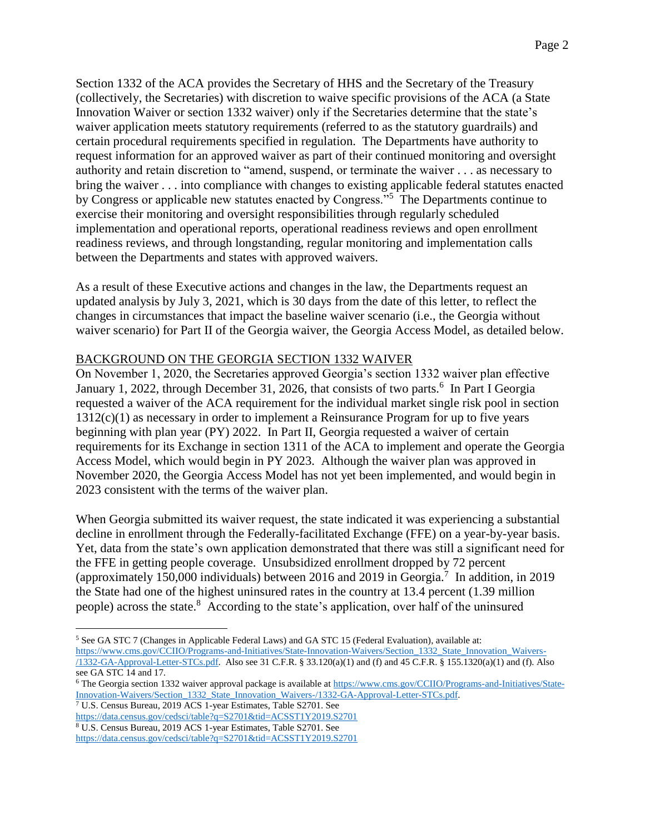Section 1332 of the ACA provides the Secretary of HHS and the Secretary of the Treasury (collectively, the Secretaries) with discretion to waive specific provisions of the ACA (a State Innovation Waiver or section 1332 waiver) only if the Secretaries determine that the state's waiver application meets statutory requirements (referred to as the statutory guardrails) and certain procedural requirements specified in regulation. The Departments have authority to request information for an approved waiver as part of their continued monitoring and oversight authority and retain discretion to "amend, suspend, or terminate the waiver . . . as necessary to bring the waiver . . . into compliance with changes to existing applicable federal statutes enacted by Congress or applicable new statutes enacted by Congress."<sup>5</sup> The Departments continue to exercise their monitoring and oversight responsibilities through regularly scheduled implementation and operational reports, operational readiness reviews and open enrollment readiness reviews, and through longstanding, regular monitoring and implementation calls between the Departments and states with approved waivers.

As a result of these Executive actions and changes in the law, the Departments request an updated analysis by July 3, 2021, which is 30 days from the date of this letter, to reflect the changes in circumstances that impact the baseline waiver scenario (i.e., the Georgia without waiver scenario) for Part II of the Georgia waiver, the Georgia Access Model, as detailed below.

# BACKGROUND ON THE GEORGIA SECTION 1332 WAIVER

On November 1, 2020, the Secretaries approved Georgia's section 1332 waiver plan effective January 1, 2022, through December 31, 2026, that consists of two parts.<sup>6</sup> In Part I Georgia requested a waiver of the ACA requirement for the individual market single risk pool in section  $1312(c)(1)$  as necessary in order to implement a Reinsurance Program for up to five years beginning with plan year (PY) 2022. In Part II, Georgia requested a waiver of certain requirements for its Exchange in section 1311 of the ACA to implement and operate the Georgia Access Model, which would begin in PY 2023. Although the waiver plan was approved in November 2020, the Georgia Access Model has not yet been implemented, and would begin in 2023 consistent with the terms of the waiver plan.

When Georgia submitted its waiver request, the state indicated it was experiencing a substantial decline in enrollment through the Federally-facilitated Exchange (FFE) on a year-by-year basis. Yet, data from the state's own application demonstrated that there was still a significant need for the FFE in getting people coverage. Unsubsidized enrollment dropped by 72 percent (approximately 150,000 individuals) between 2016 and 2019 in Georgia.<sup>7</sup> In addition, in 2019 the State had one of the highest uninsured rates in the country at 13.4 percent (1.39 million people) across the state.<sup>8</sup> According to the state's application, over half of the uninsured

<sup>7</sup> U.S. Census Bureau, 2019 ACS 1-year Estimates, Table S2701. See

<sup>5</sup> See GA STC 7 (Changes in Applicable Federal Laws) and GA STC 15 (Federal Evaluation), available at: [https://www.cms.gov/CCIIO/Programs-and-Initiatives/State-Innovation-Waivers/Section\\_1332\\_State\\_Innovation\\_Waivers-](https://www.cms.gov/CCIIO/Programs-and-Initiatives/State-Innovation-Waivers/Section_1332_State_Innovation_Waivers-/1332-GA-Approval-Letter-STCs.pdf) [/1332-GA-Approval-Letter-STCs.pdf.](https://www.cms.gov/CCIIO/Programs-and-Initiatives/State-Innovation-Waivers/Section_1332_State_Innovation_Waivers-/1332-GA-Approval-Letter-STCs.pdf) Also see 31 C.F.R. § 33.120(a)(1) and (f) and 45 C.F.R. § 155.1320(a)(1) and (f). Also see GA STC 14 and 17.

<sup>&</sup>lt;sup>6</sup> The Georgia section 1332 waiver approval package is available a[t https://www.cms.gov/CCIIO/Programs-and-Initiatives/State-](https://www.cms.gov/CCIIO/Programs-and-Initiatives/State-Innovation-Waivers/Section_1332_State_Innovation_Waivers-/1332-GA-Approval-Letter-STCs.pdf)[Innovation-Waivers/Section\\_1332\\_State\\_Innovation\\_Waivers-/1332-GA-Approval-Letter-STCs.pdf.](https://www.cms.gov/CCIIO/Programs-and-Initiatives/State-Innovation-Waivers/Section_1332_State_Innovation_Waivers-/1332-GA-Approval-Letter-STCs.pdf)

<https://data.census.gov/cedsci/table?q=S2701&tid=ACSST1Y2019.S2701> <sup>8</sup> U.S. Census Bureau, 2019 ACS 1-year Estimates, Table S2701. See

<https://data.census.gov/cedsci/table?q=S2701&tid=ACSST1Y2019.S2701>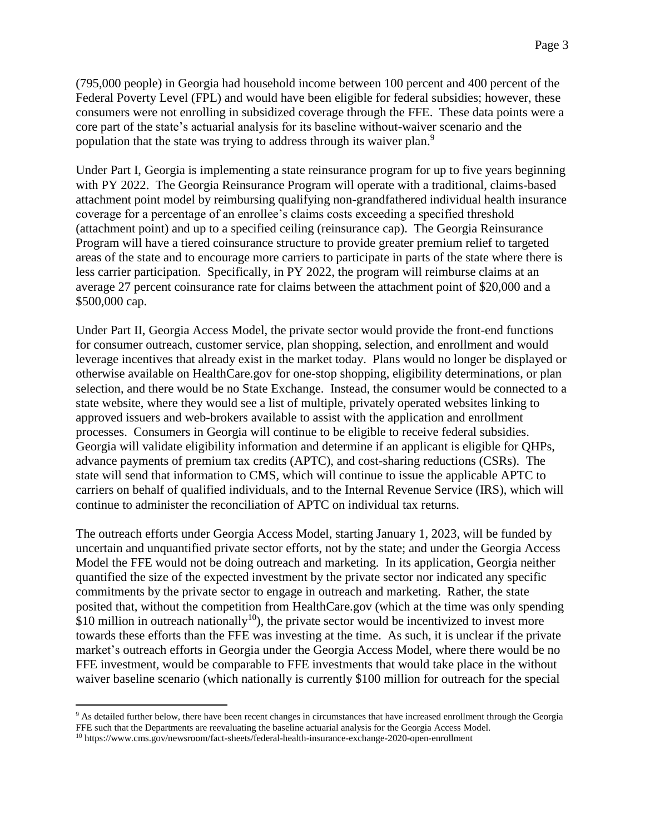(795,000 people) in Georgia had household income between 100 percent and 400 percent of the Federal Poverty Level (FPL) and would have been eligible for federal subsidies; however, these consumers were not enrolling in subsidized coverage through the FFE. These data points were a core part of the state's actuarial analysis for its baseline without-waiver scenario and the population that the state was trying to address through its waiver plan.<sup>9</sup>

Under Part I, Georgia is implementing a state reinsurance program for up to five years beginning with PY 2022. The Georgia Reinsurance Program will operate with a traditional, claims-based attachment point model by reimbursing qualifying non-grandfathered individual health insurance coverage for a percentage of an enrollee's claims costs exceeding a specified threshold (attachment point) and up to a specified ceiling (reinsurance cap). The Georgia Reinsurance Program will have a tiered coinsurance structure to provide greater premium relief to targeted areas of the state and to encourage more carriers to participate in parts of the state where there is less carrier participation. Specifically, in PY 2022, the program will reimburse claims at an average 27 percent coinsurance rate for claims between the attachment point of \$20,000 and a \$500,000 cap.

Under Part II, Georgia Access Model, the private sector would provide the front-end functions for consumer outreach, customer service, plan shopping, selection, and enrollment and would leverage incentives that already exist in the market today. Plans would no longer be displayed or otherwise available on HealthCare.gov for one-stop shopping, eligibility determinations, or plan selection, and there would be no State Exchange. Instead, the consumer would be connected to a state website, where they would see a list of multiple, privately operated websites linking to approved issuers and web-brokers available to assist with the application and enrollment processes. Consumers in Georgia will continue to be eligible to receive federal subsidies. Georgia will validate eligibility information and determine if an applicant is eligible for QHPs, advance payments of premium tax credits (APTC), and cost-sharing reductions (CSRs). The state will send that information to CMS, which will continue to issue the applicable APTC to carriers on behalf of qualified individuals, and to the Internal Revenue Service (IRS), which will continue to administer the reconciliation of APTC on individual tax returns.

The outreach efforts under Georgia Access Model, starting January 1, 2023, will be funded by uncertain and unquantified private sector efforts, not by the state; and under the Georgia Access Model the FFE would not be doing outreach and marketing. In its application, Georgia neither quantified the size of the expected investment by the private sector nor indicated any specific commitments by the private sector to engage in outreach and marketing. Rather, the state posited that, without the competition from HealthCare.gov (which at the time was only spending  $$10$  million in outreach nationally<sup>10</sup>), the private sector would be incentivized to invest more towards these efforts than the FFE was investing at the time. As such, it is unclear if the private market's outreach efforts in Georgia under the Georgia Access Model, where there would be no FFE investment, would be comparable to FFE investments that would take place in the without waiver baseline scenario (which nationally is currently \$100 million for outreach for the special

<sup>&</sup>lt;sup>9</sup> As detailed further below, there have been recent changes in circumstances that have increased enrollment through the Georgia FFE such that the Departments are reevaluating the baseline actuarial analysis for the Georgia Access Model.

<sup>10</sup> https://www.cms.gov/newsroom/fact-sheets/federal-health-insurance-exchange-2020-open-enrollment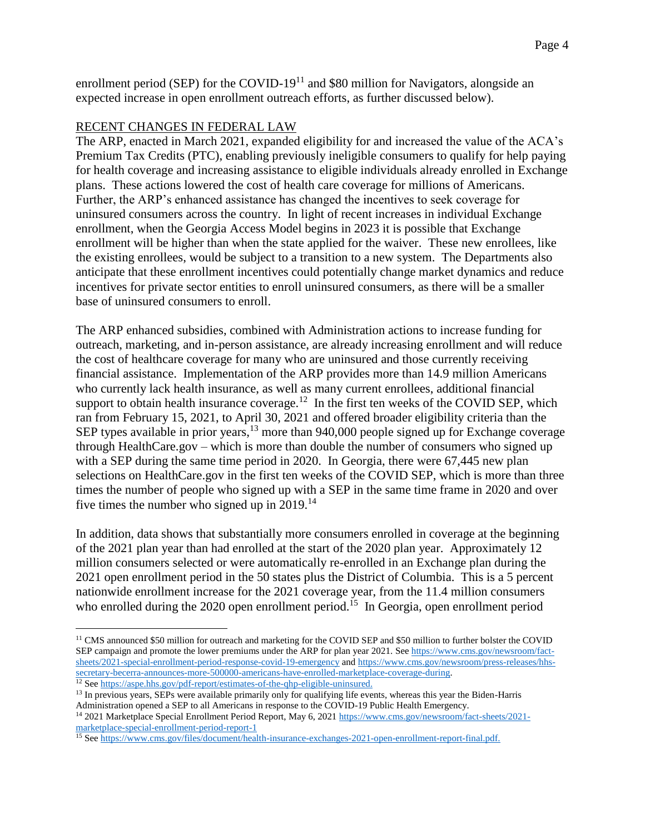enrollment period (SEP) for the COVID-19 $^{11}$  and \$80 million for Navigators, alongside an expected increase in open enrollment outreach efforts, as further discussed below).

# RECENT CHANGES IN FEDERAL LAW

The ARP, enacted in March 2021, expanded eligibility for and increased the value of the ACA's Premium Tax Credits (PTC), enabling previously ineligible consumers to qualify for help paying for health coverage and increasing assistance to eligible individuals already enrolled in Exchange plans. These actions lowered the cost of health care coverage for millions of Americans. Further, the ARP's enhanced assistance has changed the incentives to seek coverage for uninsured consumers across the country. In light of recent increases in individual Exchange enrollment, when the Georgia Access Model begins in 2023 it is possible that Exchange enrollment will be higher than when the state applied for the waiver. These new enrollees, like the existing enrollees, would be subject to a transition to a new system. The Departments also anticipate that these enrollment incentives could potentially change market dynamics and reduce incentives for private sector entities to enroll uninsured consumers, as there will be a smaller base of uninsured consumers to enroll.

The ARP enhanced subsidies, combined with Administration actions to increase funding for outreach, marketing, and in-person assistance, are already increasing enrollment and will reduce the cost of healthcare coverage for many who are uninsured and those currently receiving financial assistance. Implementation of the ARP provides more than 14.9 million Americans who currently lack health insurance, as well as many current enrollees, additional financial support to obtain health insurance coverage.<sup>12</sup> In the first ten weeks of the COVID SEP, which ran from February 15, 2021, to April 30, 2021 and offered broader eligibility criteria than the SEP types available in prior years,<sup>13</sup> more than 940,000 people signed up for Exchange coverage through HealthCare.gov – which is more than double the number of consumers who signed up with a SEP during the same time period in 2020. In Georgia, there were 67,445 new plan selections on HealthCare.gov in the first ten weeks of the COVID SEP, which is more than three times the number of people who signed up with a SEP in the same time frame in 2020 and over five times the number who signed up in  $2019$ <sup>14</sup>

In addition, data shows that substantially more consumers enrolled in coverage at the beginning of the 2021 plan year than had enrolled at the start of the 2020 plan year. Approximately 12 million consumers selected or were automatically re-enrolled in an Exchange plan during the 2021 open enrollment period in the 50 states plus the District of Columbia. This is a 5 percent nationwide enrollment increase for the 2021 coverage year, from the 11.4 million consumers who enrolled during the 2020 open enrollment period.<sup>15</sup> In Georgia, open enrollment period

<sup>&</sup>lt;sup>11</sup> CMS announced \$50 million for outreach and marketing for the COVID SEP and \$50 million to further bolster the COVID SEP campaign and promote the lower premiums under the ARP for plan year 2021. Se[e https://www.cms.gov/newsroom/fact](https://www.cms.gov/newsroom/fact-sheets/2021-special-enrollment-period-response-covid-19-emergency)[sheets/2021-special-enrollment-period-response-covid-19-emergency](https://www.cms.gov/newsroom/fact-sheets/2021-special-enrollment-period-response-covid-19-emergency) and [https://www.cms.gov/newsroom/press-releases/hhs](https://www.cms.gov/newsroom/press-releases/hhs-secretary-becerra-announces-more-500000-americans-have-enrolled-marketplace-coverage-during)[secretary-becerra-announces-more-500000-americans-have-enrolled-marketplace-coverage-during.](https://www.cms.gov/newsroom/press-releases/hhs-secretary-becerra-announces-more-500000-americans-have-enrolled-marketplace-coverage-during) 

<sup>&</sup>lt;sup>12</sup> Se[e https://aspe.hhs.gov/pdf-report/estimates-of-the-qhp-eligible-uninsured.](https://aspe.hhs.gov/pdf-report/estimates-of-the-qhp-eligible-uninsured) <sup>13</sup> In previous years, SEPs were available primarily only for qualifying life events, whereas this year the Biden-Harris

Administration opened a SEP to all Americans in response to the COVID-19 Public Health Emergency.

<sup>&</sup>lt;sup>14</sup> 2021 Marketplace Special Enrollment Period Report, May 6, 2021 [https://www.cms.gov/newsroom/fact-sheets/2021](https://www.cms.gov/newsroom/fact-sheets/2021-marketplace-special-enrollment-period-report-1) [marketplace-special-enrollment-period-report-1](https://www.cms.gov/newsroom/fact-sheets/2021-marketplace-special-enrollment-period-report-1)

<sup>&</sup>lt;sup>15</sup> See [https://www.cms.gov/files/document/health-insurance-exchanges-2021-open-enrollment-report-final.pdf.](https://www.cms.gov/files/document/health-insurance-exchanges-2021-open-enrollment-report-final.pdf)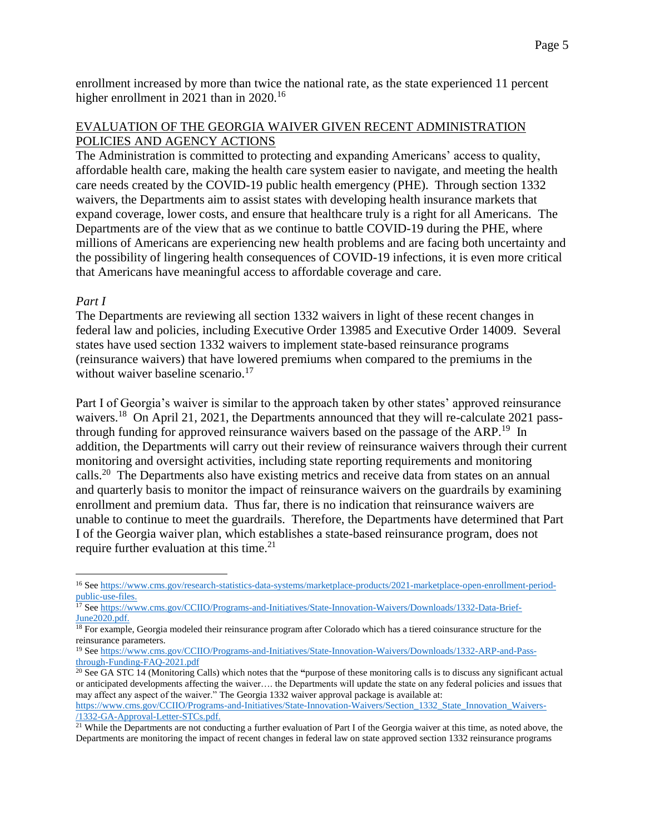enrollment increased by more than twice the national rate, as the state experienced 11 percent higher enrollment in 2021 than in 2020.<sup>16</sup>

# EVALUATION OF THE GEORGIA WAIVER GIVEN RECENT ADMINISTRATION POLICIES AND AGENCY ACTIONS

The Administration is committed to protecting and expanding Americans' access to quality, affordable health care, making the health care system easier to navigate, and meeting the health care needs created by the COVID-19 public health emergency (PHE). Through section 1332 waivers, the Departments aim to assist states with developing health insurance markets that expand coverage, lower costs, and ensure that healthcare truly is a right for all Americans. The Departments are of the view that as we continue to battle COVID-19 during the PHE, where millions of Americans are experiencing new health problems and are facing both uncertainty and the possibility of lingering health consequences of COVID-19 infections, it is even more critical that Americans have meaningful access to affordable coverage and care.

# *Part I*

 $\overline{a}$ 

The Departments are reviewing all section 1332 waivers in light of these recent changes in federal law and policies, including Executive Order 13985 and Executive Order 14009. Several states have used section 1332 waivers to implement state-based reinsurance programs (reinsurance waivers) that have lowered premiums when compared to the premiums in the without waiver baseline scenario.<sup>17</sup>

Part I of Georgia's waiver is similar to the approach taken by other states' approved reinsurance waivers.<sup>18</sup> On April 21, 2021, the Departments announced that they will re-calculate 2021 passthrough funding for approved reinsurance waivers based on the passage of the ARP.<sup>19</sup> In addition, the Departments will carry out their review of reinsurance waivers through their current monitoring and oversight activities, including state reporting requirements and monitoring calls.<sup>20</sup> The Departments also have existing metrics and receive data from states on an annual and quarterly basis to monitor the impact of reinsurance waivers on the guardrails by examining enrollment and premium data. Thus far, there is no indication that reinsurance waivers are unable to continue to meet the guardrails. Therefore, the Departments have determined that Part I of the Georgia waiver plan, which establishes a state-based reinsurance program, does not require further evaluation at this time. $21$ 

<sup>16</sup> Se[e https://www.cms.gov/research-statistics-data-systems/marketplace-products/2021-marketplace-open-enrollment-period](https://www.cms.gov/research-statistics-data-systems/marketplace-products/2021-marketplace-open-enrollment-period-public-use-files)[public-use-files.](https://www.cms.gov/research-statistics-data-systems/marketplace-products/2021-marketplace-open-enrollment-period-public-use-files)

<sup>&</sup>lt;sup>17</sup> Se[e https://www.cms.gov/CCIIO/Programs-and-Initiatives/State-Innovation-Waivers/Downloads/1332-Data-Brief-](https://www.cms.gov/CCIIO/Programs-and-Initiatives/State-Innovation-Waivers/Downloads/1332-Data-Brief-June2020.pdf)[June2020.pdf.](https://www.cms.gov/CCIIO/Programs-and-Initiatives/State-Innovation-Waivers/Downloads/1332-Data-Brief-June2020.pdf)

<sup>&</sup>lt;sup>18</sup> For example, Georgia modeled their reinsurance program after Colorado which has a tiered coinsurance structure for the reinsurance parameters.

<sup>&</sup>lt;sup>19</sup> Se[e https://www.cms.gov/CCIIO/Programs-and-Initiatives/State-Innovation-Waivers/Downloads/1332-ARP-and-Pass](https://www.cms.gov/CCIIO/Programs-and-Initiatives/State-Innovation-Waivers/Downloads/1332-ARP-and-Pass-through-Funding-FAQ-2021.pdf)[through-Funding-FAQ-2021.pdf](https://www.cms.gov/CCIIO/Programs-and-Initiatives/State-Innovation-Waivers/Downloads/1332-ARP-and-Pass-through-Funding-FAQ-2021.pdf)

<sup>20</sup> See GA STC 14 (Monitoring Calls) which notes that the **"**purpose of these monitoring calls is to discuss any significant actual or anticipated developments affecting the waiver…. the Departments will update the state on any federal policies and issues that may affect any aspect of the waiver." The Georgia 1332 waiver approval package is available at: [https://www.cms.gov/CCIIO/Programs-and-Initiatives/State-Innovation-Waivers/Section\\_1332\\_State\\_Innovation\\_Waivers-](https://www.cms.gov/CCIIO/Programs-and-Initiatives/State-Innovation-Waivers/Section_1332_State_Innovation_Waivers-/1332-GA-Approval-Letter-STCs.pdf) [/1332-GA-Approval-Letter-STCs.pdf.](https://www.cms.gov/CCIIO/Programs-and-Initiatives/State-Innovation-Waivers/Section_1332_State_Innovation_Waivers-/1332-GA-Approval-Letter-STCs.pdf)

<sup>&</sup>lt;sup>21</sup> While the Departments are not conducting a further evaluation of Part I of the Georgia waiver at this time, as noted above, the Departments are monitoring the impact of recent changes in federal law on state approved section 1332 reinsurance programs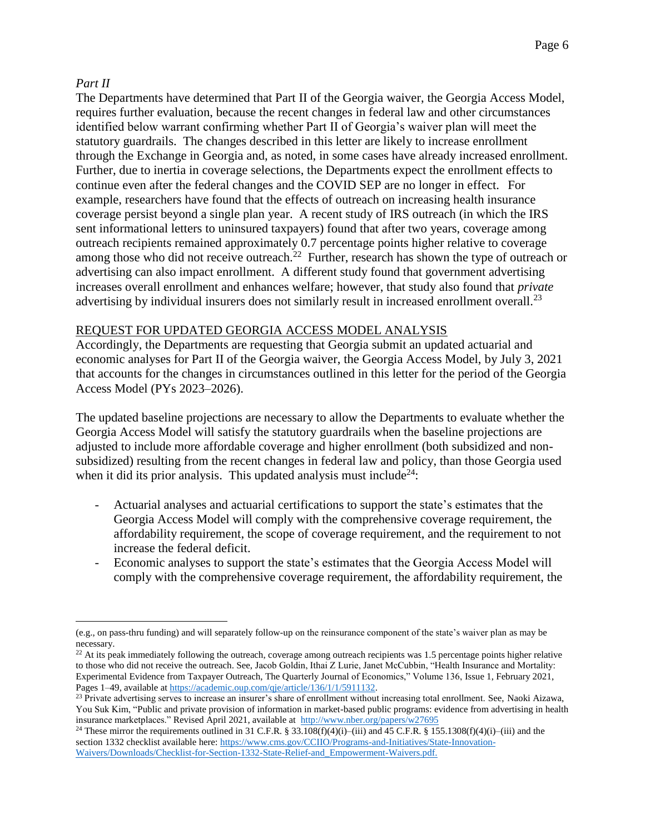# *Part II*

The Departments have determined that Part II of the Georgia waiver, the Georgia Access Model, requires further evaluation, because the recent changes in federal law and other circumstances identified below warrant confirming whether Part II of Georgia's waiver plan will meet the statutory guardrails. The changes described in this letter are likely to increase enrollment through the Exchange in Georgia and, as noted, in some cases have already increased enrollment. Further, due to inertia in coverage selections, the Departments expect the enrollment effects to continue even after the federal changes and the COVID SEP are no longer in effect. For example, researchers have found that the effects of outreach on increasing health insurance coverage persist beyond a single plan year. A recent study of IRS outreach (in which the IRS sent informational letters to uninsured taxpayers) found that after two years, coverage among outreach recipients remained approximately 0.7 percentage points higher relative to coverage among those who did not receive outreach.<sup>22</sup> Further, research has shown the type of outreach or advertising can also impact enrollment. A different study found that government advertising increases overall enrollment and enhances welfare; however, that study also found that *private* advertising by individual insurers does not similarly result in increased enrollment overall.<sup>23</sup>

# REQUEST FOR UPDATED GEORGIA ACCESS MODEL ANALYSIS

Accordingly, the Departments are requesting that Georgia submit an updated actuarial and economic analyses for Part II of the Georgia waiver, the Georgia Access Model, by July 3, 2021 that accounts for the changes in circumstances outlined in this letter for the period of the Georgia Access Model (PYs 2023–2026).

The updated baseline projections are necessary to allow the Departments to evaluate whether the Georgia Access Model will satisfy the statutory guardrails when the baseline projections are adjusted to include more affordable coverage and higher enrollment (both subsidized and nonsubsidized) resulting from the recent changes in federal law and policy, than those Georgia used when it did its prior analysis. This updated analysis must include<sup>24</sup>:

- Actuarial analyses and actuarial certifications to support the state's estimates that the Georgia Access Model will comply with the comprehensive coverage requirement, the affordability requirement, the scope of coverage requirement, and the requirement to not increase the federal deficit.
- Economic analyses to support the state's estimates that the Georgia Access Model will comply with the comprehensive coverage requirement, the affordability requirement, the

 $\overline{a}$ (e.g., on pass-thru funding) and will separately follow-up on the reinsurance component of the state's waiver plan as may be necessary.

 $22$  At its peak immediately following the outreach, coverage among outreach recipients was 1.5 percentage points higher relative to those who did not receive the outreach. See, Jacob Goldin, Ithai Z Lurie, Janet McCubbin, "Health Insurance and Mortality: Experimental Evidence from Taxpayer Outreach, The Quarterly Journal of Economics," Volume 136, Issue 1, February 2021, Pages 1-49, available at [https://academic.oup.com/qje/article/136/1/1/5911132.](https://academic.oup.com/qje/article/136/1/1/5911132)

<sup>&</sup>lt;sup>23</sup> Private advertising serves to increase an insurer's share of enrollment without increasing total enrollment. See, Naoki Aizawa, You Suk Kim, "Public and private provision of information in market-based public programs: evidence from advertising in health insurance marketplaces." Revised April 2021, available at<http://www.nber.org/papers/w27695>

<sup>&</sup>lt;sup>24</sup> These mirror the requirements outlined in 31 C.F.R. § 33.108(f)(4)(i)–(iii) and 45 C.F.R. § 155.1308(f)(4)(i)–(iii) and the section 1332 checklist available here: [https://www.cms.gov/CCIIO/Programs-and-Initiatives/State-Innovation-](https://www.cms.gov/CCIIO/Programs-and-Initiatives/State-Innovation-Waivers/Downloads/Checklist-for-Section-1332-State-Relief-and_Empowerment-Waivers.pdf)[Waivers/Downloads/Checklist-for-Section-1332-State-Relief-and\\_Empowerment-Waivers.pdf.](https://www.cms.gov/CCIIO/Programs-and-Initiatives/State-Innovation-Waivers/Downloads/Checklist-for-Section-1332-State-Relief-and_Empowerment-Waivers.pdf)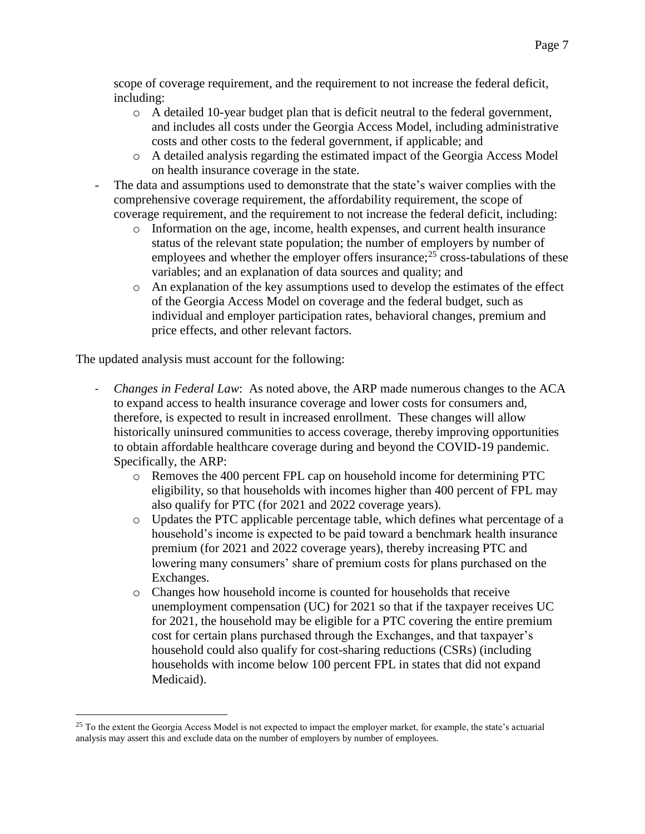scope of coverage requirement, and the requirement to not increase the federal deficit, including:

- $\circ$  A detailed 10-year budget plan that is deficit neutral to the federal government, and includes all costs under the Georgia Access Model, including administrative costs and other costs to the federal government, if applicable; and
- o A detailed analysis regarding the estimated impact of the Georgia Access Model on health insurance coverage in the state.
- The data and assumptions used to demonstrate that the state's waiver complies with the comprehensive coverage requirement, the affordability requirement, the scope of coverage requirement, and the requirement to not increase the federal deficit, including:
	- o Information on the age, income, health expenses, and current health insurance status of the relevant state population; the number of employers by number of employees and whether the employer offers insurance;<sup>25</sup> cross-tabulations of these variables; and an explanation of data sources and quality; and
	- o An explanation of the key assumptions used to develop the estimates of the effect of the Georgia Access Model on coverage and the federal budget, such as individual and employer participation rates, behavioral changes, premium and price effects, and other relevant factors.

The updated analysis must account for the following:

- *- Changes in Federal Law*: As noted above, the ARP made numerous changes to the ACA to expand access to health insurance coverage and lower costs for consumers and, therefore, is expected to result in increased enrollment. These changes will allow historically uninsured communities to access coverage, thereby improving opportunities to obtain affordable healthcare coverage during and beyond the COVID-19 pandemic. Specifically, the ARP:
	- o Removes the 400 percent FPL cap on household income for determining PTC eligibility, so that households with incomes higher than 400 percent of FPL may also qualify for PTC (for 2021 and 2022 coverage years).
	- o Updates the PTC applicable percentage table, which defines what percentage of a household's income is expected to be paid toward a benchmark health insurance premium (for 2021 and 2022 coverage years), thereby increasing PTC and lowering many consumers' share of premium costs for plans purchased on the Exchanges.
	- o Changes how household income is counted for households that receive unemployment compensation (UC) for 2021 so that if the taxpayer receives UC for 2021, the household may be eligible for a PTC covering the entire premium cost for certain plans purchased through the Exchanges, and that taxpayer's household could also qualify for cost-sharing reductions (CSRs) (including households with income below 100 percent FPL in states that did not expand Medicaid).

<sup>&</sup>lt;sup>25</sup> To the extent the Georgia Access Model is not expected to impact the employer market, for example, the state's actuarial analysis may assert this and exclude data on the number of employers by number of employees.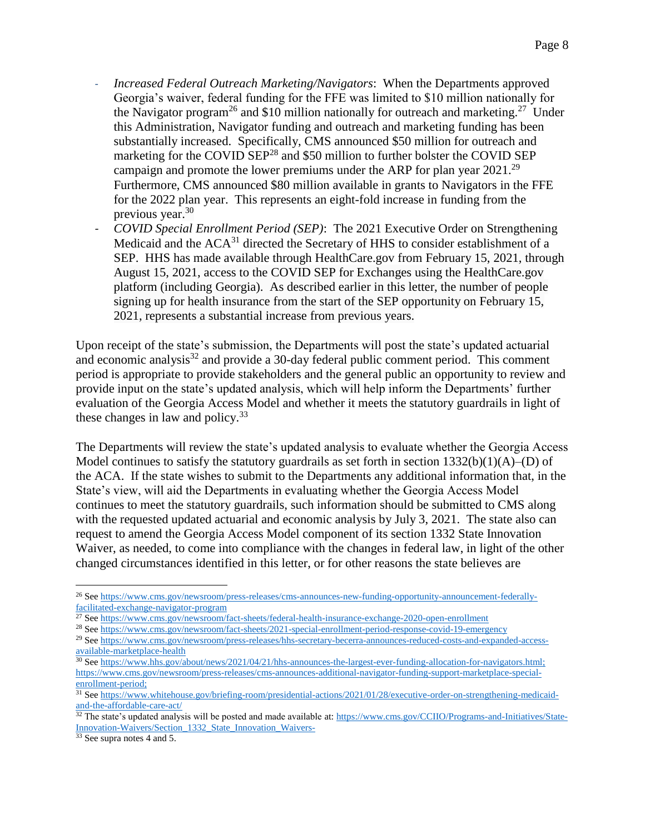- *Increased Federal Outreach Marketing/Navigators*: When the Departments approved Georgia's waiver, federal funding for the FFE was limited to \$10 million nationally for the Navigator program<sup>26</sup> and \$10 million nationally for outreach and marketing.<sup>27</sup> Under this Administration, Navigator funding and outreach and marketing funding has been substantially increased. Specifically, CMS announced \$50 million for outreach and marketing for the COVID SEP<sup>28</sup> and \$50 million to further bolster the COVID SEP campaign and promote the lower premiums under the ARP for plan year  $2021.^{29}$ Furthermore, CMS announced \$80 million available in grants to Navigators in the FFE for the 2022 plan year. This represents an eight-fold increase in funding from the previous year. 30
- *- COVID Special Enrollment Period (SEP)*: The 2021 Executive Order on Strengthening Medicaid and the ACA<sup>31</sup> directed the Secretary of HHS to consider establishment of a SEP. HHS has made available through HealthCare.gov from February 15, 2021, through August 15, 2021, access to the COVID SEP for Exchanges using the HealthCare.gov platform (including Georgia). As described earlier in this letter, the number of people signing up for health insurance from the start of the SEP opportunity on February 15, 2021, represents a substantial increase from previous years.

Upon receipt of the state's submission, the Departments will post the state's updated actuarial and economic analysis<sup>32</sup> and provide a 30-day federal public comment period. This comment period is appropriate to provide stakeholders and the general public an opportunity to review and provide input on the state's updated analysis, which will help inform the Departments' further evaluation of the Georgia Access Model and whether it meets the statutory guardrails in light of these changes in law and policy. $33$ 

The Departments will review the state's updated analysis to evaluate whether the Georgia Access Model continues to satisfy the statutory guardrails as set forth in section  $1332(b)(1)(A)$ –(D) of the ACA. If the state wishes to submit to the Departments any additional information that, in the State's view, will aid the Departments in evaluating whether the Georgia Access Model continues to meet the statutory guardrails, such information should be submitted to CMS along with the requested updated actuarial and economic analysis by July 3, 2021. The state also can request to amend the Georgia Access Model component of its section 1332 State Innovation Waiver, as needed, to come into compliance with the changes in federal law, in light of the other changed circumstances identified in this letter, or for other reasons the state believes are

<sup>26</sup> See [https://www.cms.gov/newsroom/press-releases/cms-announces-new-funding-opportunity-announcement-federally](https://www.cms.gov/newsroom/press-releases/cms-announces-new-funding-opportunity-announcement-federally-facilitated-exchange-navigator-program)[facilitated-exchange-navigator-program](https://www.cms.gov/newsroom/press-releases/cms-announces-new-funding-opportunity-announcement-federally-facilitated-exchange-navigator-program)

<sup>&</sup>lt;sup>27</sup> Se[e https://www.cms.gov/newsroom/fact-sheets/federal-health-insurance-exchange-2020-open-enrollment](https://www.cms.gov/newsroom/fact-sheets/federal-health-insurance-exchange-2020-open-enrollment)

<sup>&</sup>lt;sup>28</sup> Se[e https://www.cms.gov/newsroom/fact-sheets/2021-special-enrollment-period-response-covid-19-emergency](https://www.cms.gov/newsroom/fact-sheets/2021-special-enrollment-period-response-covid-19-emergency)

<sup>&</sup>lt;sup>29</sup> Se[e https://www.cms.gov/newsroom/press-releases/hhs-secretary-becerra-announces-reduced-costs-and-expanded-access](https://www.cms.gov/newsroom/press-releases/hhs-secretary-becerra-announces-reduced-costs-and-expanded-access-available-marketplace-health)[available-marketplace-health](https://www.cms.gov/newsroom/press-releases/hhs-secretary-becerra-announces-reduced-costs-and-expanded-access-available-marketplace-health)

<sup>&</sup>lt;sup>30</sup> Se[e https://www.hhs.gov/about/news/2021/04/21/hhs-announces-the-largest-ever-funding-allocation-for-navigators.html;](https://www.hhs.gov/about/news/2021/04/21/hhs-announces-the-largest-ever-funding-allocation-for-navigators.html) [https://www.cms.gov/newsroom/press-releases/cms-announces-additional-navigator-funding-support-marketplace-special](https://www.cms.gov/newsroom/press-releases/cms-announces-additional-navigator-funding-support-marketplace-special-enrollment-period)[enrollment-period;](https://www.cms.gov/newsroom/press-releases/cms-announces-additional-navigator-funding-support-marketplace-special-enrollment-period)

<sup>&</sup>lt;sup>31</sup> Se[e https://www.whitehouse.gov/briefing-room/presidential-actions/2021/01/28/executive-order-on-strengthening-medicaid](https://www.whitehouse.gov/briefing-room/presidential-actions/2021/01/28/executive-order-on-strengthening-medicaid-and-the-affordable-care-act/)[and-the-affordable-care-act/](https://www.whitehouse.gov/briefing-room/presidential-actions/2021/01/28/executive-order-on-strengthening-medicaid-and-the-affordable-care-act/)

 $32$  The state's updated analysis will be posted and made available at[: https://www.cms.gov/CCIIO/Programs-and-Initiatives/State-](https://www.cms.gov/CCIIO/Programs-and-Initiatives/State-Innovation-Waivers/Section_1332_State_Innovation_Waivers-)[Innovation-Waivers/Section\\_1332\\_State\\_Innovation\\_Waivers-](https://www.cms.gov/CCIIO/Programs-and-Initiatives/State-Innovation-Waivers/Section_1332_State_Innovation_Waivers-)

<sup>&</sup>lt;sup>33</sup> See supra notes 4 and 5.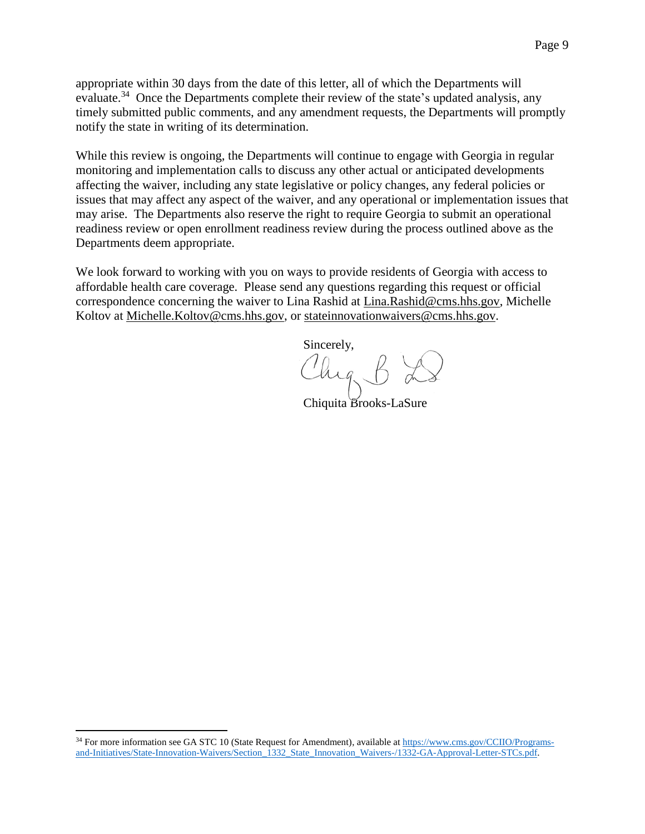appropriate within 30 days from the date of this letter, all of which the Departments will evaluate.<sup>34</sup> Once the Departments complete their review of the state's updated analysis, any timely submitted public comments, and any amendment requests, the Departments will promptly notify the state in writing of its determination.

While this review is ongoing, the Departments will continue to engage with Georgia in regular monitoring and implementation calls to discuss any other actual or anticipated developments affecting the waiver, including any state legislative or policy changes, any federal policies or issues that may affect any aspect of the waiver, and any operational or implementation issues that may arise. The Departments also reserve the right to require Georgia to submit an operational readiness review or open enrollment readiness review during the process outlined above as the Departments deem appropriate.

We look forward to working with you on ways to provide residents of Georgia with access to affordable health care coverage. Please send any questions regarding this request or official correspondence concerning the waiver to Lina Rashid at [Lina.Rashid@cms.hhs.gov,](mailto:Lina.Rashid@cms.hhs.gov) Michelle Koltov at [Michelle.Koltov@cms.hhs.gov,](mailto:Michelle.Koltov@cms.hhs.gov) or [stateinnovationwaivers@cms.hhs.gov.](mailto:stateinnovationwaivers@cms.hhs.gov)

Sincerely, Chig

Chiquita Brooks-LaSure

<sup>&</sup>lt;sup>34</sup> For more information see GA STC 10 (State Request for Amendment), available a[t https://www.cms.gov/CCIIO/Programs](https://www.cms.gov/CCIIO/Programs-and-Initiatives/State-Innovation-Waivers/Section_1332_State_Innovation_Waivers-/1332-GA-Approval-Letter-STCs.pdf)[and-Initiatives/State-Innovation-Waivers/Section\\_1332\\_State\\_Innovation\\_Waivers-/1332-GA-Approval-Letter-STCs.pdf.](https://www.cms.gov/CCIIO/Programs-and-Initiatives/State-Innovation-Waivers/Section_1332_State_Innovation_Waivers-/1332-GA-Approval-Letter-STCs.pdf)